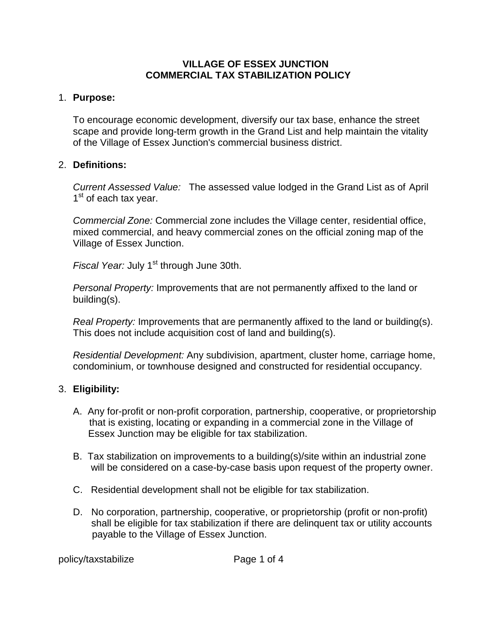#### **VILLAGE OF ESSEX JUNCTION COMMERCIAL TAX STABILIZATION POLICY**

## 1. **Purpose:**

To encourage economic development, diversify our tax base, enhance the street scape and provide long-term growth in the Grand List and help maintain the vitality of the Village of Essex Junction's commercial business district.

## 2. **Definitions:**

*Current Assessed Value:* The assessed value lodged in the Grand List as of April  $1<sup>st</sup>$  of each tax year.

*Commercial Zone:* Commercial zone includes the Village center, residential office, mixed commercial, and heavy commercial zones on the official zoning map of the Village of Essex Junction.

*Fiscal Year: July 1<sup>st</sup> through June 30th.* 

*Personal Property:* Improvements that are not permanently affixed to the land or building(s).

*Real Property:* Improvements that are permanently affixed to the land or building(s). This does not include acquisition cost of land and building(s).

*Residential Development:* Any subdivision, apartment, cluster home, carriage home, condominium, or townhouse designed and constructed for residential occupancy.

# 3. **Eligibility:**

- A. Any for-profit or non-profit corporation, partnership, cooperative, or proprietorship that is existing, locating or expanding in a commercial zone in the Village of Essex Junction may be eligible for tax stabilization.
- B. Tax stabilization on improvements to a building(s)/site within an industrial zone will be considered on a case-by-case basis upon request of the property owner.
- C. Residential development shall not be eligible for tax stabilization.
- D. No corporation, partnership, cooperative, or proprietorship (profit or non-profit) shall be eligible for tax stabilization if there are delinquent tax or utility accounts payable to the Village of Essex Junction.

policy/taxstabilize Page 1 of 4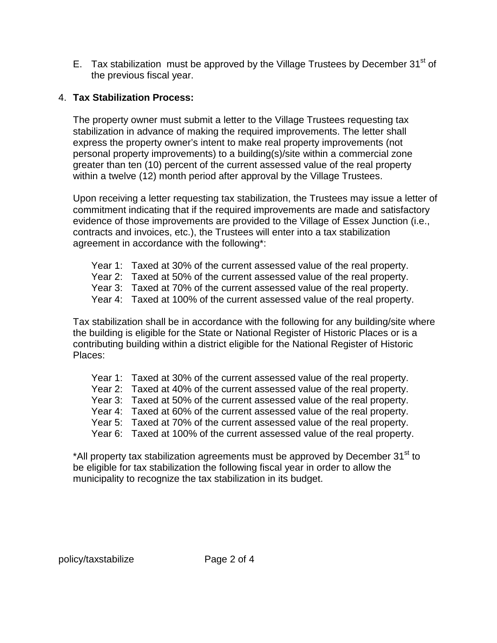E. Tax stabilization must be approved by the Village Trustees by December  $31<sup>st</sup>$  of the previous fiscal year.

# 4. **Tax Stabilization Process:**

The property owner must submit a letter to the Village Trustees requesting tax stabilization in advance of making the required improvements. The letter shall express the property owner's intent to make real property improvements (not personal property improvements) to a building(s)/site within a commercial zone greater than ten (10) percent of the current assessed value of the real property within a twelve (12) month period after approval by the Village Trustees.

Upon receiving a letter requesting tax stabilization, the Trustees may issue a letter of commitment indicating that if the required improvements are made and satisfactory evidence of those improvements are provided to the Village of Essex Junction (i.e., contracts and invoices, etc.), the Trustees will enter into a tax stabilization agreement in accordance with the following\*:

- Year 1: Taxed at 30% of the current assessed value of the real property.
- Year 2: Taxed at 50% of the current assessed value of the real property.
- Year 3: Taxed at 70% of the current assessed value of the real property.
- Year 4: Taxed at 100% of the current assessed value of the real property.

Tax stabilization shall be in accordance with the following for any building/site where the building is eligible for the State or National Register of Historic Places or is a contributing building within a district eligible for the National Register of Historic Places:

- Year 1: Taxed at 30% of the current assessed value of the real property.
- Year 2: Taxed at 40% of the current assessed value of the real property.
- Year 3: Taxed at 50% of the current assessed value of the real property.
- Year 4: Taxed at 60% of the current assessed value of the real property.
- Year 5: Taxed at 70% of the current assessed value of the real property.
- Year 6: Taxed at 100% of the current assessed value of the real property.

\*All property tax stabilization agreements must be approved by December 31<sup>st</sup> to be eligible for tax stabilization the following fiscal year in order to allow the municipality to recognize the tax stabilization in its budget.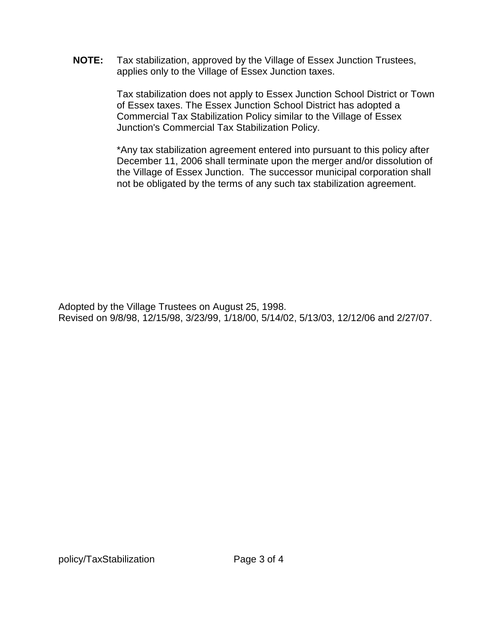**NOTE:** Tax stabilization, approved by the Village of Essex Junction Trustees, applies only to the Village of Essex Junction taxes.

> Tax stabilization does not apply to Essex Junction School District or Town of Essex taxes. The Essex Junction School District has adopted a Commercial Tax Stabilization Policy similar to the Village of Essex Junction's Commercial Tax Stabilization Policy.

> \*Any tax stabilization agreement entered into pursuant to this policy after December 11, 2006 shall terminate upon the merger and/or dissolution of the Village of Essex Junction. The successor municipal corporation shall not be obligated by the terms of any such tax stabilization agreement.

Adopted by the Village Trustees on August 25, 1998. Revised on 9/8/98, 12/15/98, 3/23/99, 1/18/00, 5/14/02, 5/13/03, 12/12/06 and 2/27/07.